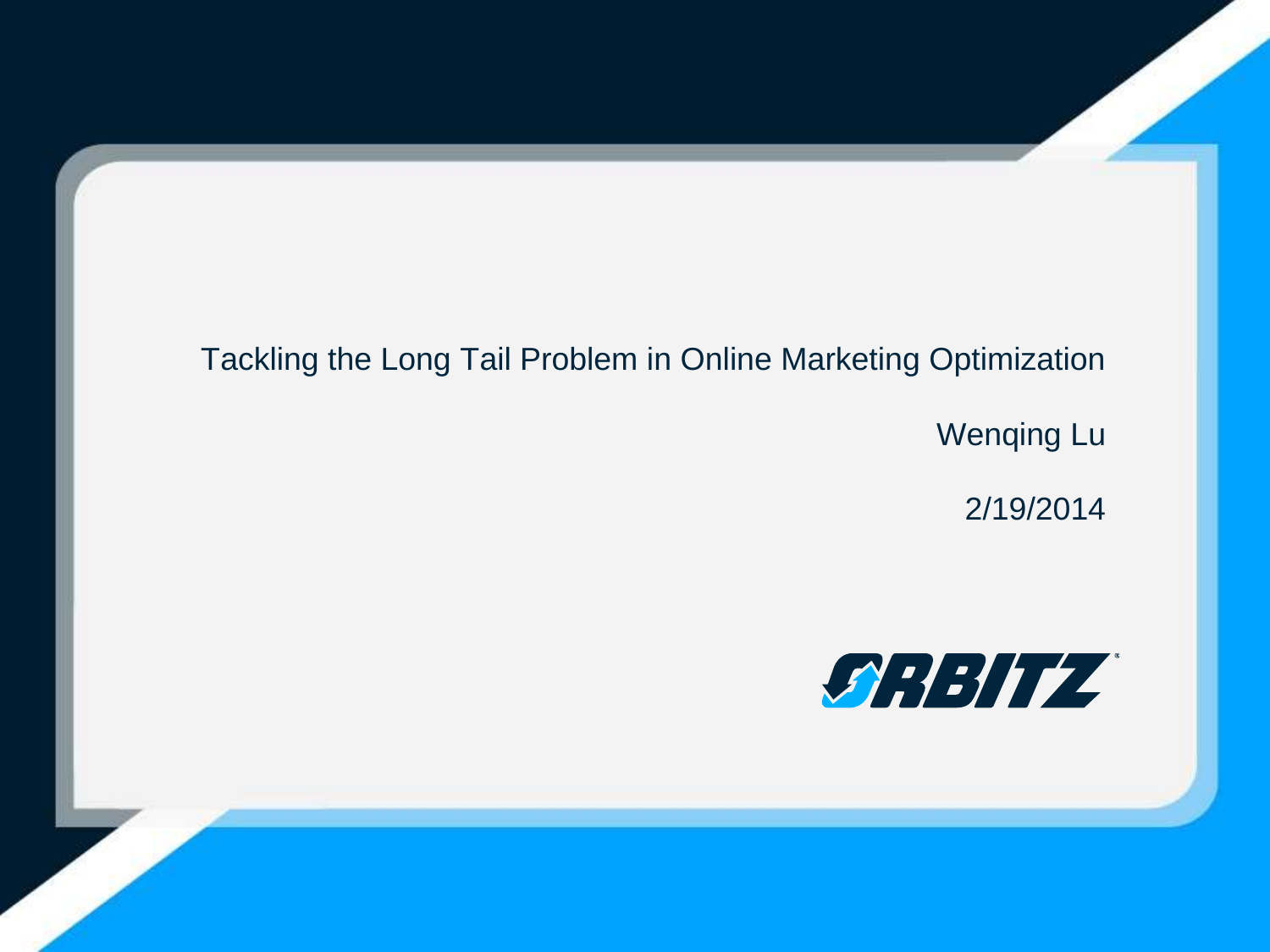### Tackling the Long Tail Problem in Online Marketing Optimization

Wenqing Lu

2/19/2014

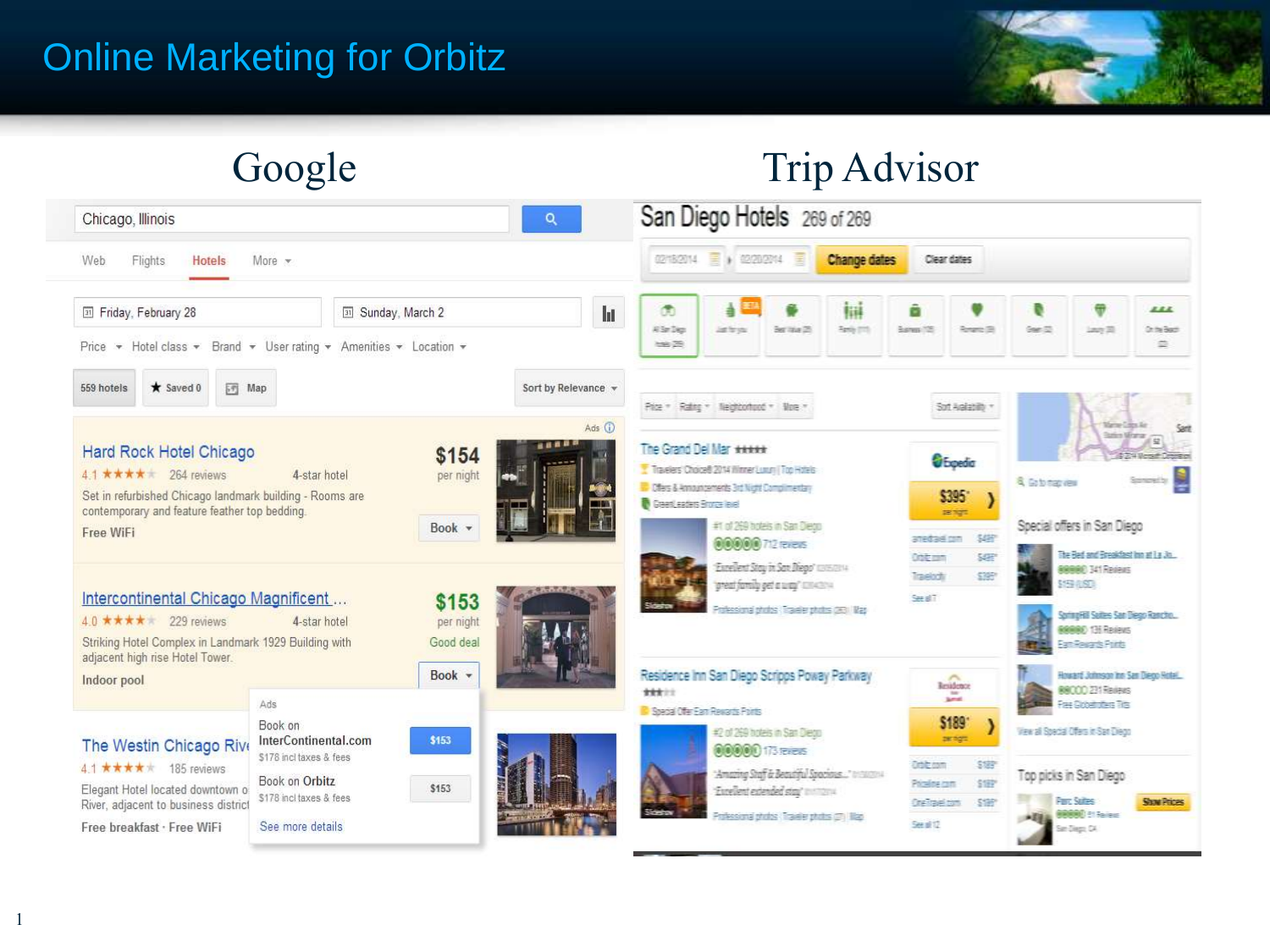## Online Marketing for Orbitz





1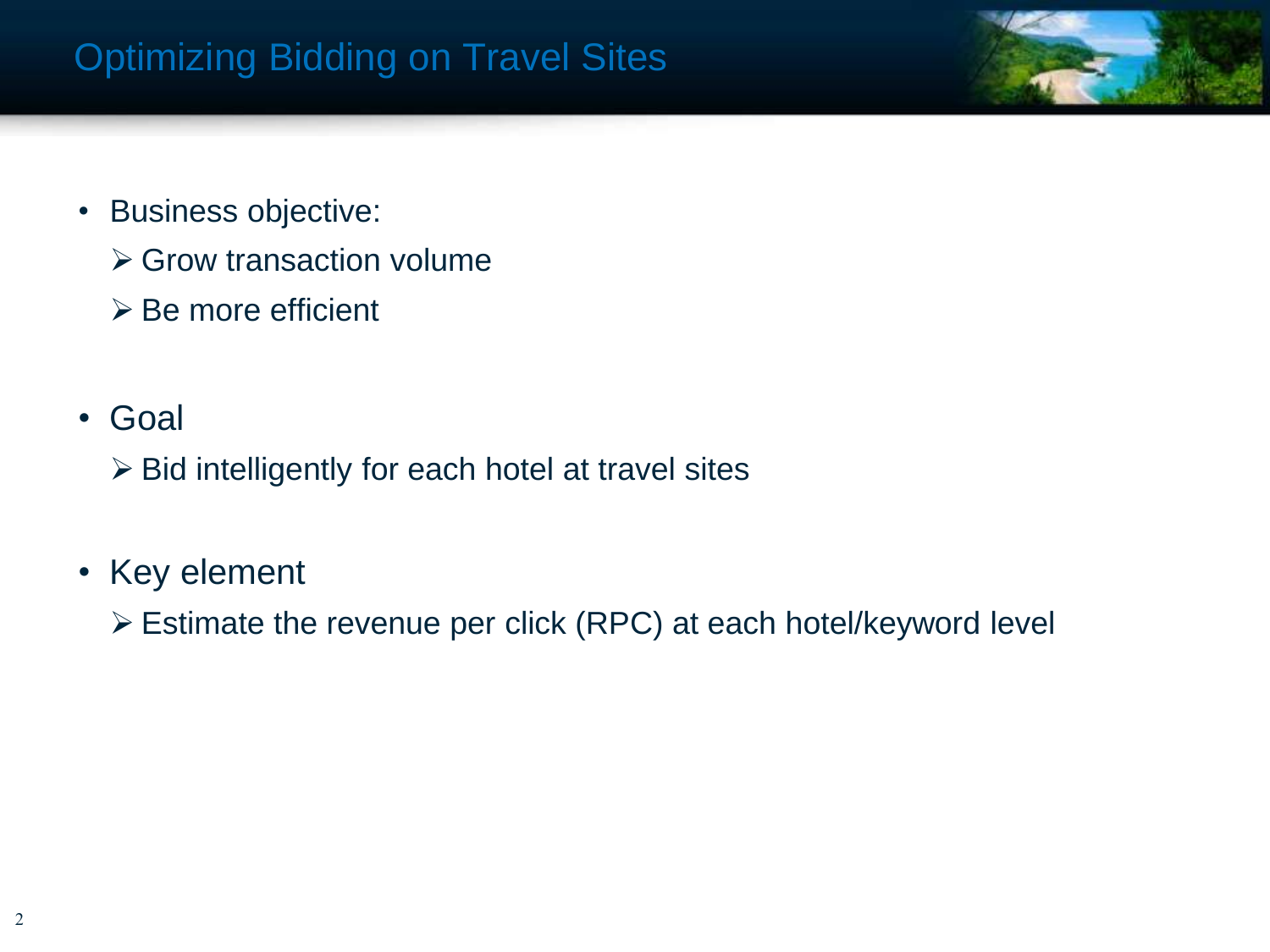

- Business objective:
	- **≻ Grow transaction volume**
	- $\triangleright$  Be more efficient
- Goal
	- $\triangleright$  Bid intelligently for each hotel at travel sites
- Key element
	- Estimate the revenue per click (RPC) at each hotel/keyword level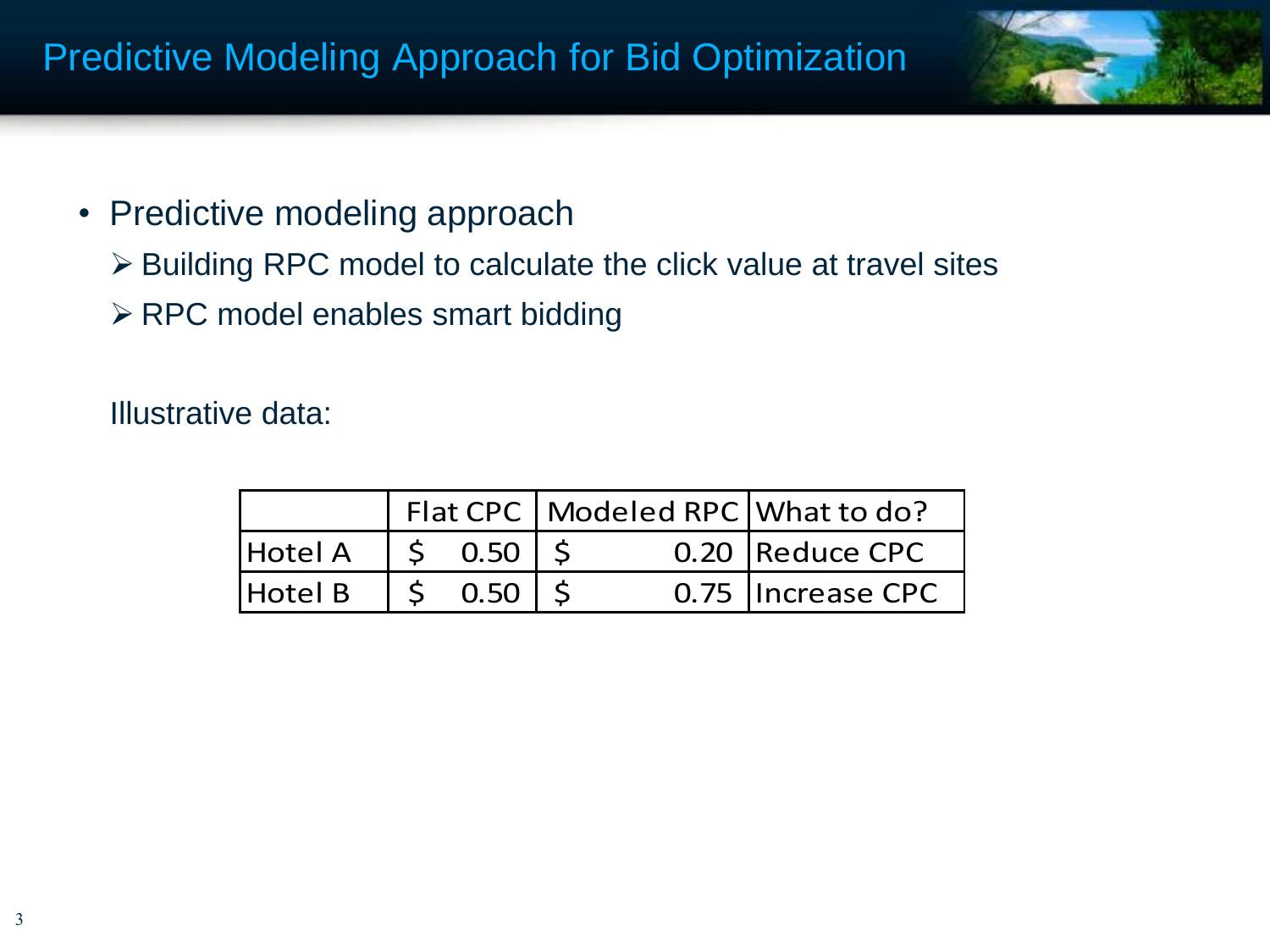

- Predictive modeling approach
	- Building RPC model to calculate the click value at travel sites
	- > RPC model enables smart bidding

Illustrative data:

|         |  |                            | Flat CPC   Modeled RPC   What to do? |  |                   |
|---------|--|----------------------------|--------------------------------------|--|-------------------|
| Hotel A |  | $ $ \$ 0.50 $ $ \$         |                                      |  | 0.20 Reduce CPC   |
| Hotel B |  | $\vert$ \$ 0.50 $\vert$ \$ |                                      |  | 0.75 Increase CPC |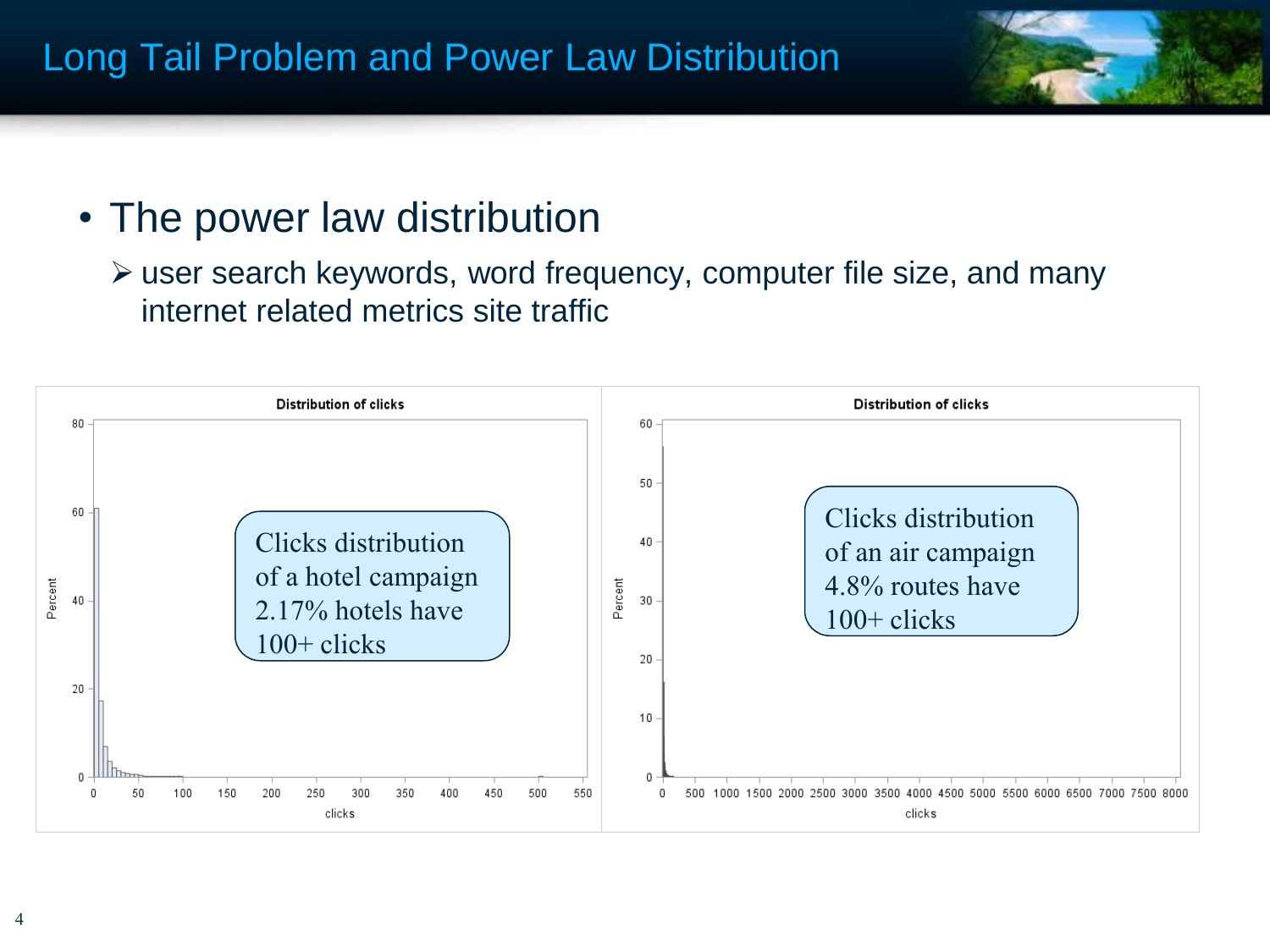

# • The power law distribution

 user search keywords, word frequency, computer file size, and many internet related metrics site traffic

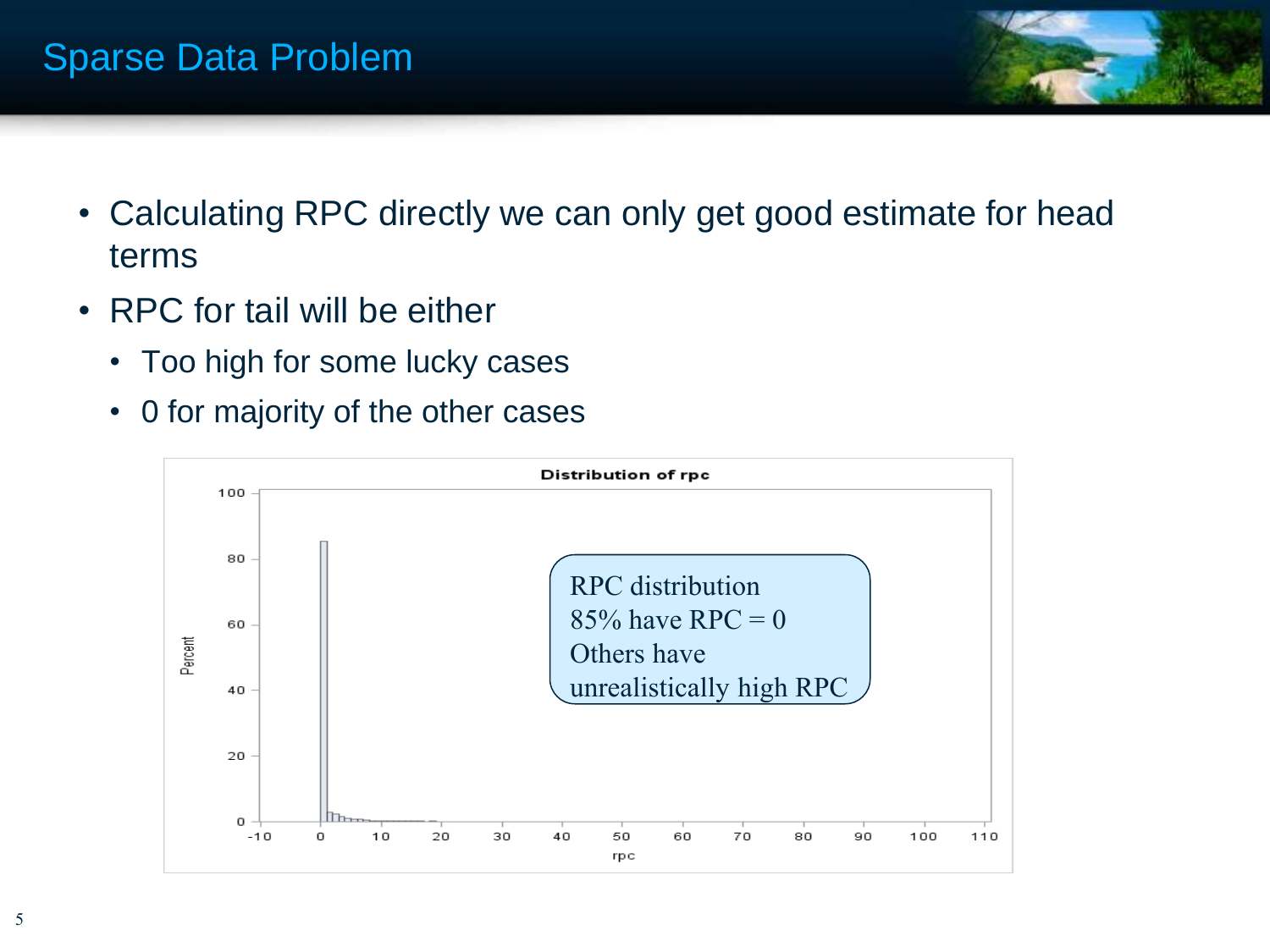

- Calculating RPC directly we can only get good estimate for head terms
- RPC for tail will be either
	- Too high for some lucky cases
	- 0 for majority of the other cases

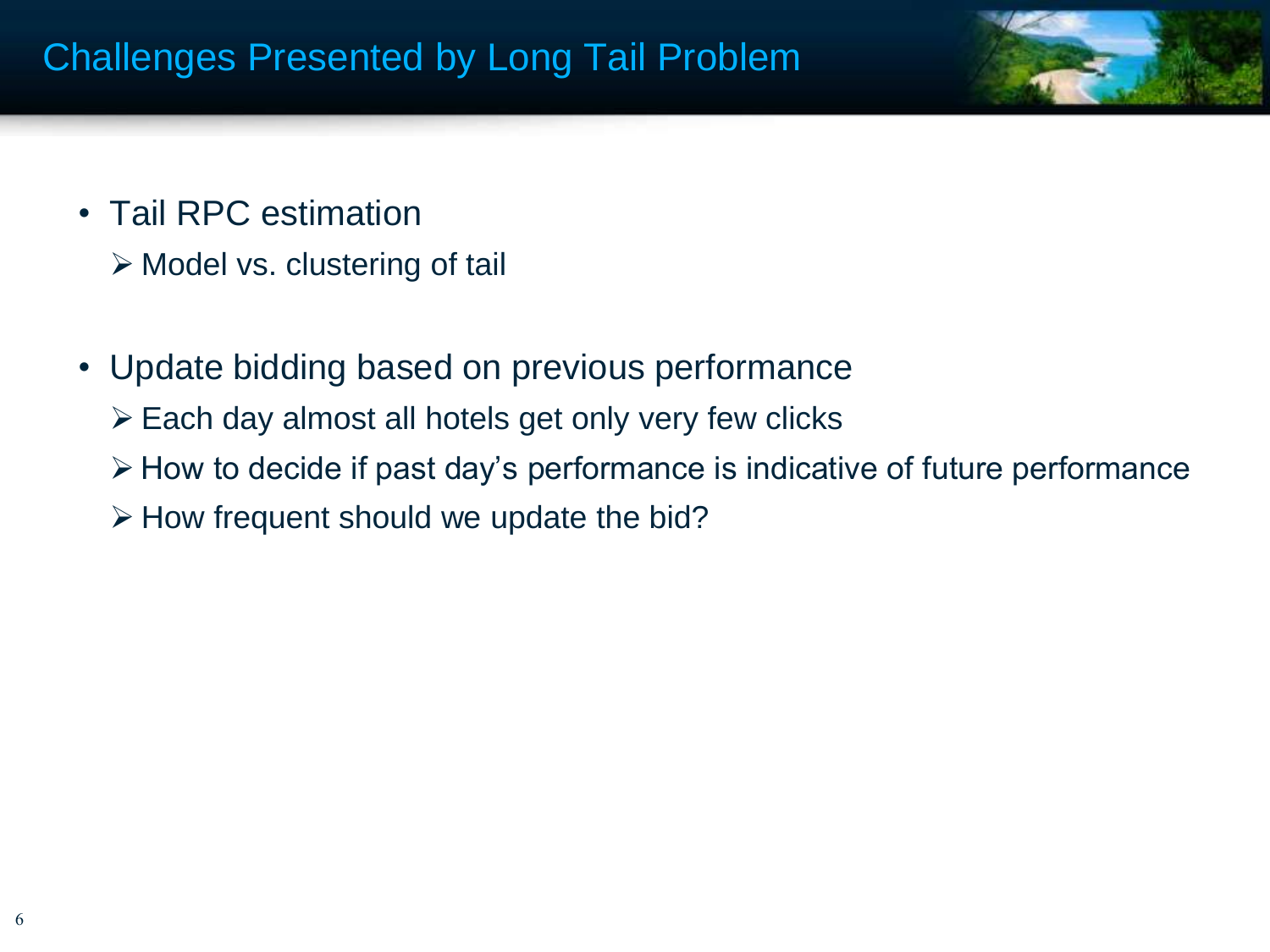

- Tail RPC estimation
	- $\triangleright$  Model vs. clustering of tail
- Update bidding based on previous performance
	- Each day almost all hotels get only very few clicks
	- $\triangleright$  How to decide if past day's performance is indicative of future performance
	- $\triangleright$  How frequent should we update the bid?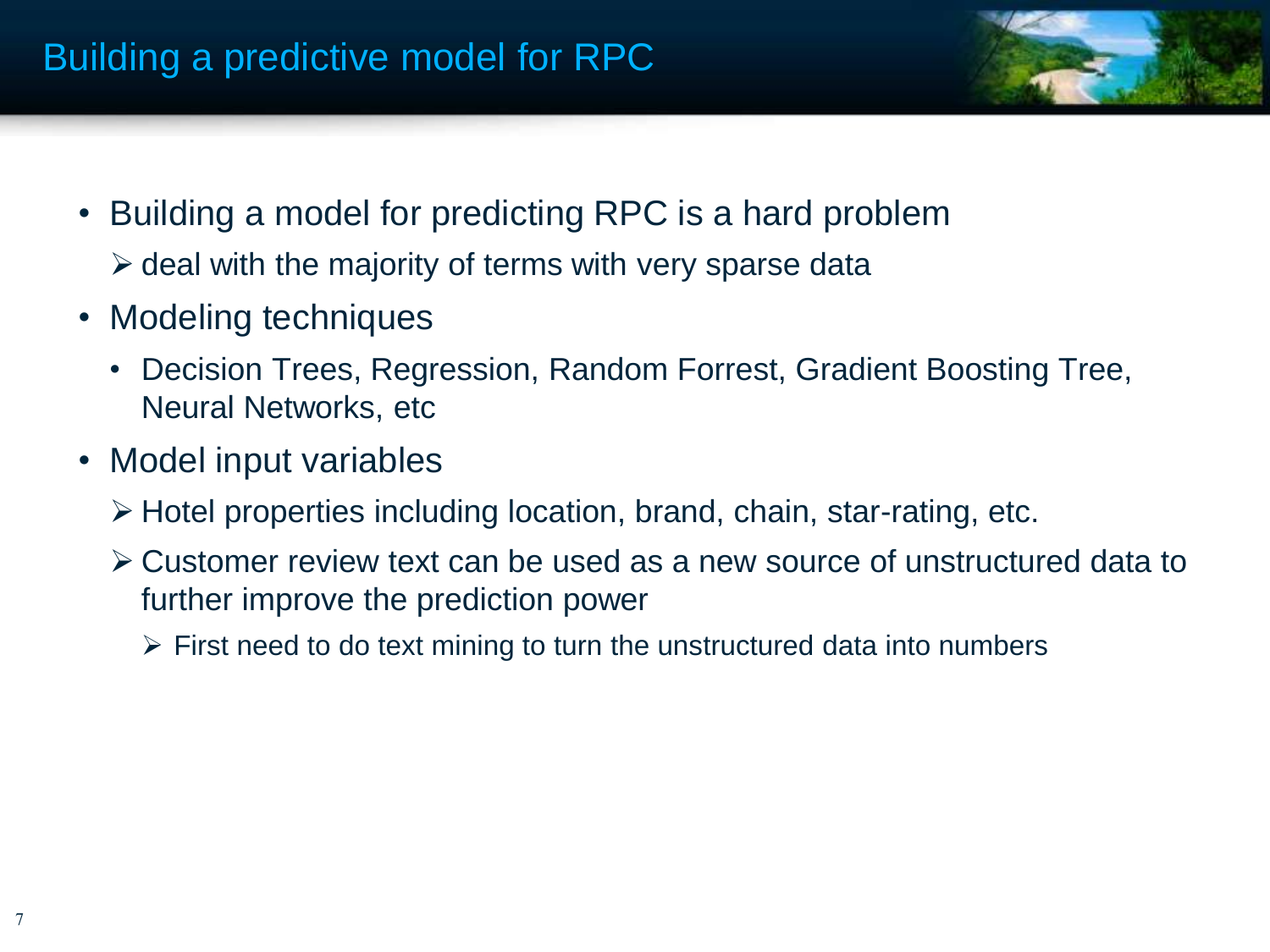

- Building a model for predicting RPC is a hard problem
	- $\triangleright$  deal with the majority of terms with very sparse data
- Modeling techniques
	- Decision Trees, Regression, Random Forrest, Gradient Boosting Tree, Neural Networks, etc
- Model input variables
	- $\triangleright$  Hotel properties including location, brand, chain, star-rating, etc.
	- Customer review text can be used as a new source of unstructured data to further improve the prediction power
		- $\triangleright$  First need to do text mining to turn the unstructured data into numbers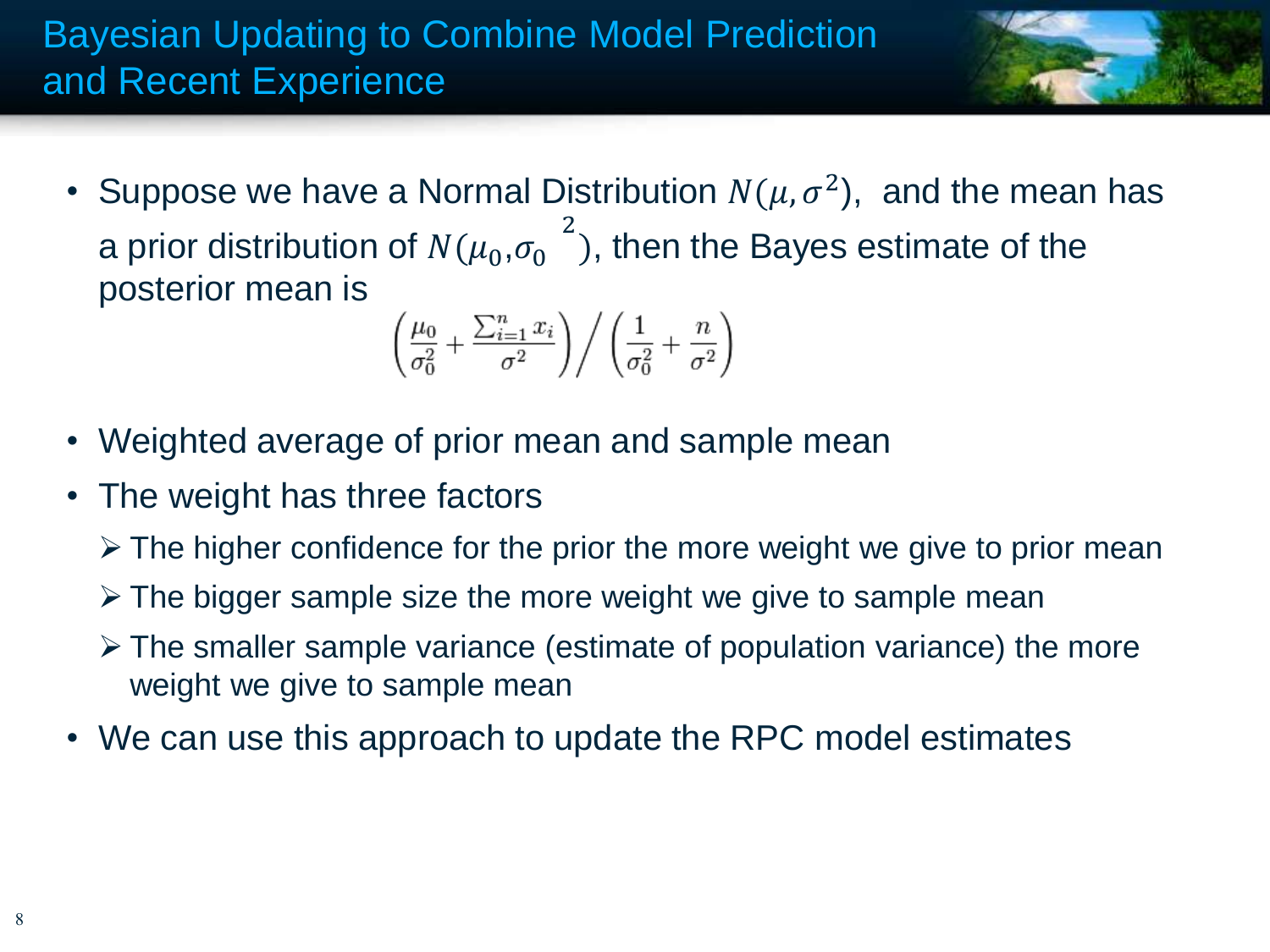

• Suppose we have a Normal Distribution  $N(\mu, \sigma^2)$ , and the mean has a prior distribution of  $N(\mu_0,\sigma_0)$ 2 ), then the Bayes estimate of the posterior mean is

$$
\left(\frac{\mu_0}{\sigma_0^2} + \frac{\sum_{i=1}^n x_i}{\sigma^2}\right) / \left(\frac{1}{\sigma_0^2} + \frac{n}{\sigma^2}\right)
$$

- Weighted average of prior mean and sample mean
- The weight has three factors
	- $\triangleright$  The higher confidence for the prior the more weight we give to prior mean
	- $\triangleright$  The bigger sample size the more weight we give to sample mean
	- $\triangleright$  The smaller sample variance (estimate of population variance) the more weight we give to sample mean
- We can use this approach to update the RPC model estimates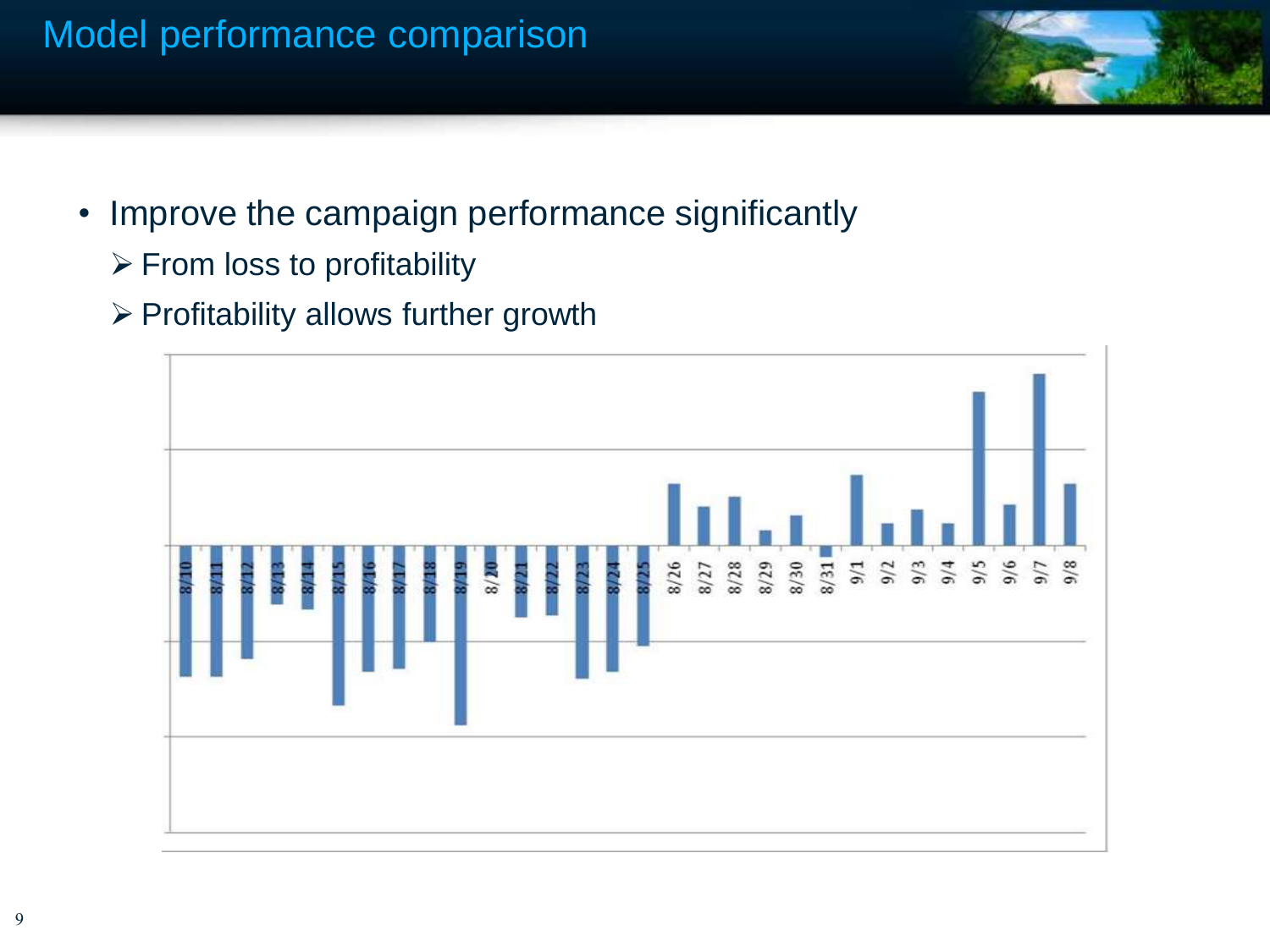

- Improve the campaign performance significantly
	- $\triangleright$  From loss to profitability
	- $\triangleright$  Profitability allows further growth

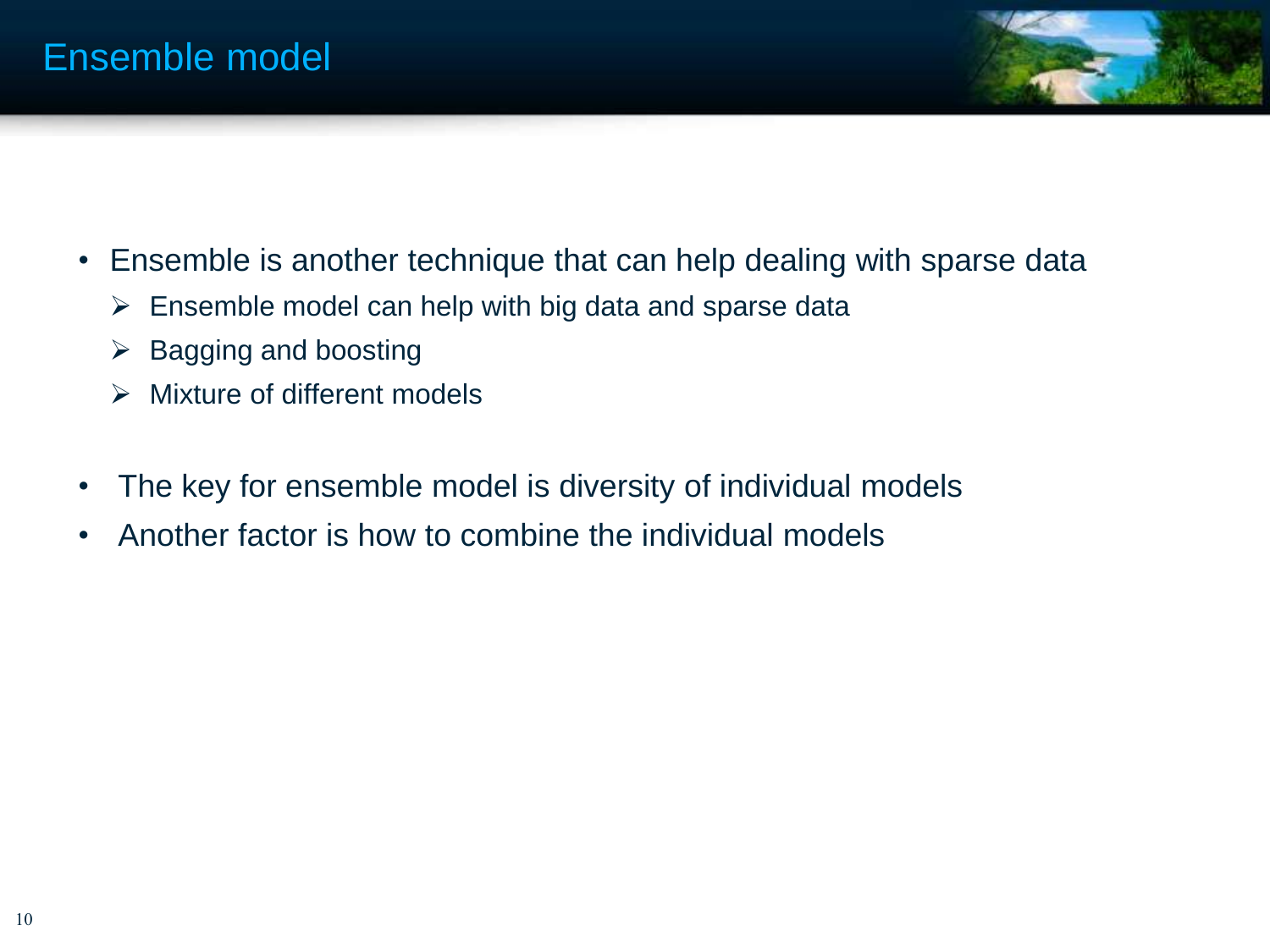

- Ensemble is another technique that can help dealing with sparse data
	- $\triangleright$  Ensemble model can help with big data and sparse data
	- $\triangleright$  Bagging and boosting
	- $\triangleright$  Mixture of different models
- The key for ensemble model is diversity of individual models
- Another factor is how to combine the individual models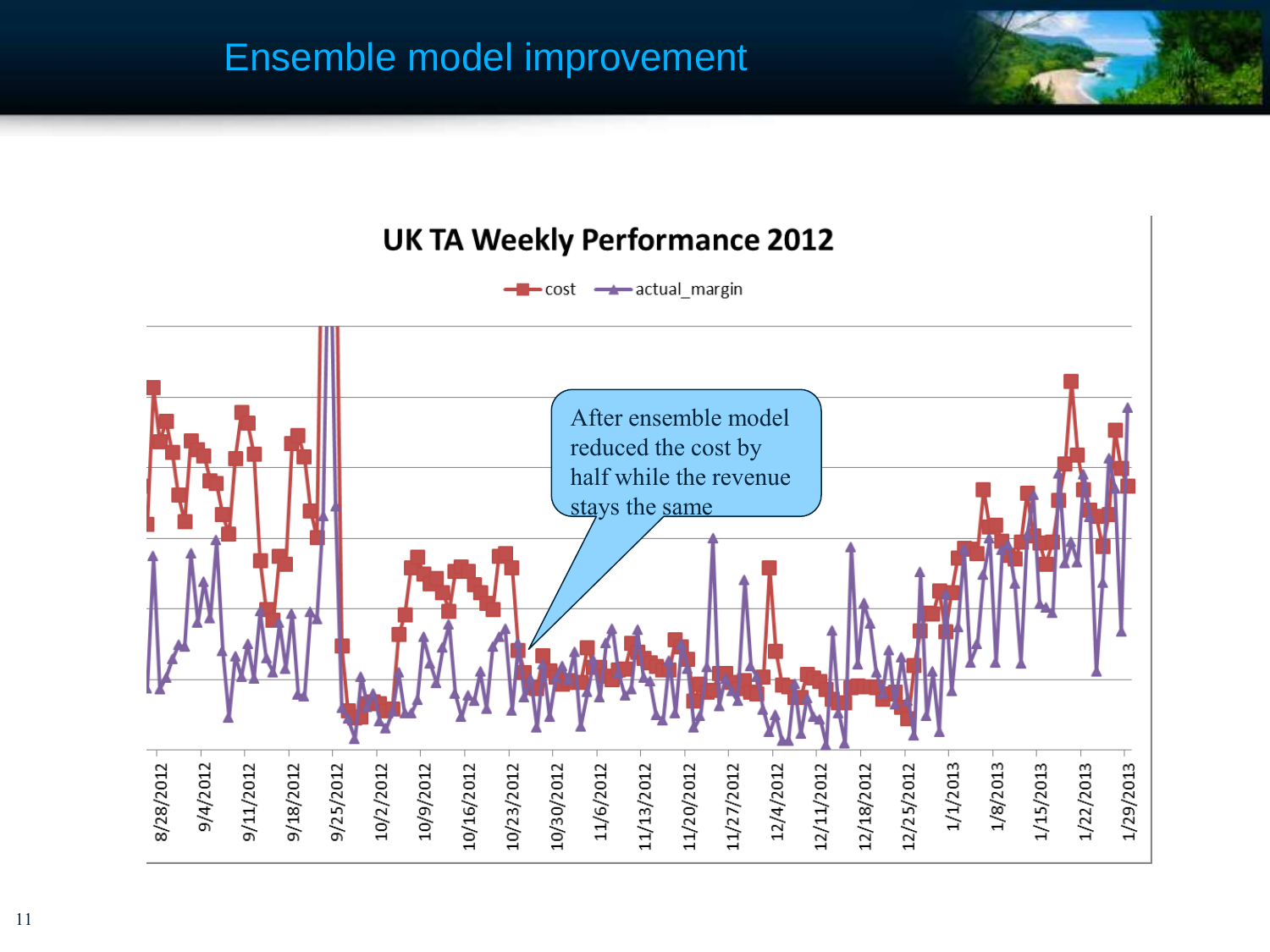### Ensemble model improvement





11